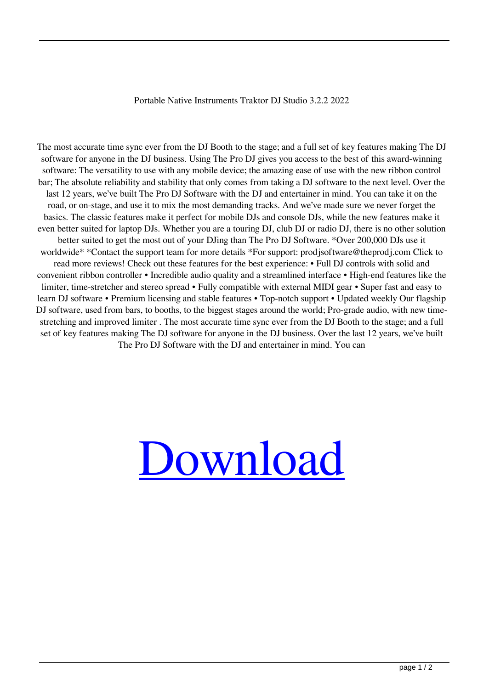## Portable Native Instruments Traktor DJ Studio 3.2.2 2022

The most accurate time sync ever from the DJ Booth to the stage; and a full set of key features making The DJ software for anyone in the DJ business. Using The Pro DJ gives you access to the best of this award-winning software: The versatility to use with any mobile device; the amazing ease of use with the new ribbon control bar; The absolute reliability and stability that only comes from taking a DJ software to the next level. Over the last 12 years, we've built The Pro DJ Software with the DJ and entertainer in mind. You can take it on the road, or on-stage, and use it to mix the most demanding tracks. And we've made sure we never forget the basics. The classic features make it perfect for mobile DJs and console DJs, while the new features make it even better suited for laptop DJs. Whether you are a touring DJ, club DJ or radio DJ, there is no other solution better suited to get the most out of your DJing than The Pro DJ Software. \*Over 200,000 DJs use it worldwide\* \*Contact the support team for more details \*For support: prodjsoftware@theprodj.com Click to read more reviews! Check out these features for the best experience: • Full DJ controls with solid and convenient ribbon controller • Incredible audio quality and a streamlined interface • High-end features like the limiter, time-stretcher and stereo spread • Fully compatible with external MIDI gear • Super fast and easy to learn DJ software • Premium licensing and stable features • Top-notch support • Updated weekly Our flagship DJ software, used from bars, to booths, to the biggest stages around the world; Pro-grade audio, with new timestretching and improved limiter . The most accurate time sync ever from the DJ Booth to the stage; and a full set of key features making The DJ software for anyone in the DJ business. Over the last 12 years, we've built The Pro DJ Software with the DJ and entertainer in mind. You can